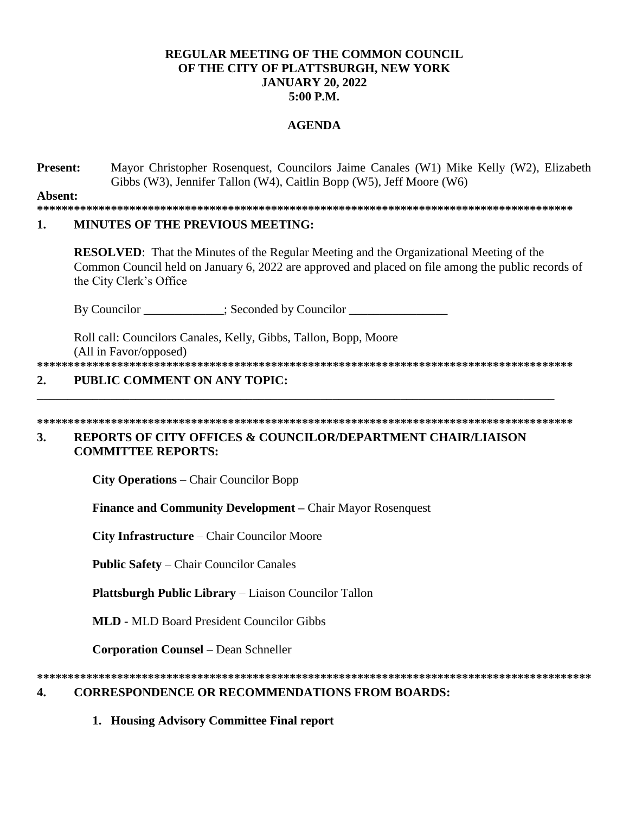## **REGULAR MEETING OF THE COMMON COUNCIL OF THE CITY OF PLATTSBURGH, NEW YORK JANUARY 20, 2022 5:00 P.M.**

## **AGENDA**

**Present:** Mayor Christopher Rosenquest, Councilors Jaime Canales (W1) Mike Kelly (W2), Elizabeth Gibbs (W3), Jennifer Tallon (W4), Caitlin Bopp (W5), Jeff Moore (W6)

**Absent:**

**\*\*\*\*\*\*\*\*\*\*\*\*\*\*\*\*\*\*\*\*\*\*\*\*\*\*\*\*\*\*\*\*\*\*\*\*\*\*\*\*\*\*\*\*\*\*\*\*\*\*\*\*\*\*\*\*\*\*\*\*\*\*\*\*\*\*\*\*\*\*\*\*\*\*\*\*\*\*\*\*\*\*\*\*\*\*\***

#### **1. MINUTES OF THE PREVIOUS MEETING:**

**RESOLVED**: That the Minutes of the Regular Meeting and the Organizational Meeting of the Common Council held on January 6, 2022 are approved and placed on file among the public records of the City Clerk's Office

By Councilor \_\_\_\_\_\_\_\_\_\_\_; Seconded by Councilor \_\_\_\_\_\_\_\_\_\_\_\_\_\_\_\_\_\_\_\_\_\_\_\_\_\_\_\_\_\_\_\_

Roll call: Councilors Canales, Kelly, Gibbs, Tallon, Bopp, Moore (All in Favor/opposed) **\*\*\*\*\*\*\*\*\*\*\*\*\*\*\*\*\*\*\*\*\*\*\*\*\*\*\*\*\*\*\*\*\*\*\*\*\*\*\*\*\*\*\*\*\*\*\*\*\*\*\*\*\*\*\*\*\*\*\*\*\*\*\*\*\*\*\*\*\*\*\*\*\*\*\*\*\*\*\*\*\*\*\*\*\*\*\***

## **2. PUBLIC COMMENT ON ANY TOPIC:**

#### **\*\*\*\*\*\*\*\*\*\*\*\*\*\*\*\*\*\*\*\*\*\*\*\*\*\*\*\*\*\*\*\*\*\*\*\*\*\*\*\*\*\*\*\*\*\*\*\*\*\*\*\*\*\*\*\*\*\*\*\*\*\*\*\*\*\*\*\*\*\*\*\*\*\*\*\*\*\*\*\*\*\*\*\*\*\*\***

\_\_\_\_\_\_\_\_\_\_\_\_\_\_\_\_\_\_\_\_\_\_\_\_\_\_\_\_\_\_\_\_\_\_\_\_\_\_\_\_\_\_\_\_\_\_\_\_\_\_\_\_\_\_\_\_\_\_\_\_\_\_\_\_\_\_\_\_\_\_\_\_\_\_\_\_\_\_\_\_\_\_\_\_

## **3. REPORTS OF CITY OFFICES & COUNCILOR/DEPARTMENT CHAIR/LIAISON COMMITTEE REPORTS:**

**City Operations** – Chair Councilor Bopp

**Finance and Community Development –** Chair Mayor Rosenquest

**City Infrastructure** – Chair Councilor Moore

**Public Safety** – Chair Councilor Canales

**Plattsburgh Public Library** – Liaison Councilor Tallon

**MLD -** MLD Board President Councilor Gibbs

**Corporation Counsel** – Dean Schneller

# **\*\*\*\*\*\*\*\*\*\*\*\*\*\*\*\*\*\*\*\*\*\*\*\*\*\*\*\*\*\*\*\*\*\*\*\*\*\*\*\*\*\*\*\*\*\*\*\*\*\*\*\*\*\*\*\*\*\*\*\*\*\*\*\*\*\*\*\*\*\*\*\*\*\*\*\*\*\*\*\*\*\*\*\*\*\*\*\*\*\***

## **4. CORRESPONDENCE OR RECOMMENDATIONS FROM BOARDS:**

**1. Housing Advisory Committee Final report**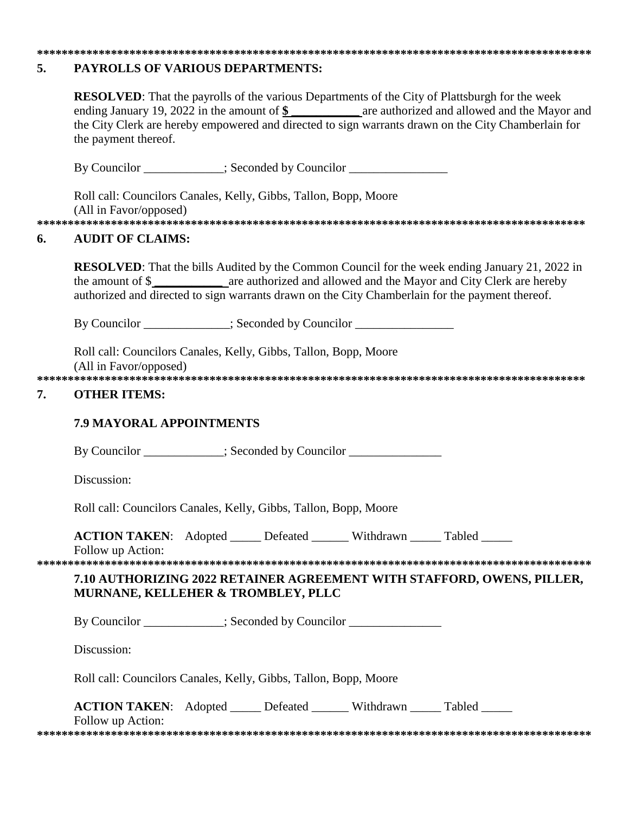#### 5. PAYROLLS OF VARIOUS DEPARTMENTS:

|    | the payment thereof.                                                                                              |  |  |  | <b>RESOLVED:</b> That the payrolls of the various Departments of the City of Plattsburgh for the week<br>ending January 19, 2022 in the amount of $\frac{2}{3}$ are authorized and allowed and the Mayor and<br>the City Clerk are hereby empowered and directed to sign warrants drawn on the City Chamberlain for |  |  |
|----|-------------------------------------------------------------------------------------------------------------------|--|--|--|---------------------------------------------------------------------------------------------------------------------------------------------------------------------------------------------------------------------------------------------------------------------------------------------------------------------|--|--|
|    | By Councilor ____________; Seconded by Councilor _______________________________                                  |  |  |  |                                                                                                                                                                                                                                                                                                                     |  |  |
|    | Roll call: Councilors Canales, Kelly, Gibbs, Tallon, Bopp, Moore<br>(All in Favor/opposed)                        |  |  |  |                                                                                                                                                                                                                                                                                                                     |  |  |
| 6. | <b>AUDIT OF CLAIMS:</b>                                                                                           |  |  |  |                                                                                                                                                                                                                                                                                                                     |  |  |
|    |                                                                                                                   |  |  |  | <b>RESOLVED:</b> That the bills Audited by the Common Council for the week ending January 21, 2022 in<br>authorized and directed to sign warrants drawn on the City Chamberlain for the payment thereof.                                                                                                            |  |  |
|    | By Councilor _____________; Seconded by Councilor ______________________________                                  |  |  |  |                                                                                                                                                                                                                                                                                                                     |  |  |
| 7. | Roll call: Councilors Canales, Kelly, Gibbs, Tallon, Bopp, Moore<br>(All in Favor/opposed)<br><b>OTHER ITEMS:</b> |  |  |  |                                                                                                                                                                                                                                                                                                                     |  |  |
|    | <b>7.9 MAYORAL APPOINTMENTS</b>                                                                                   |  |  |  |                                                                                                                                                                                                                                                                                                                     |  |  |
|    | By Councilor __________; Seconded by Councilor ______________                                                     |  |  |  |                                                                                                                                                                                                                                                                                                                     |  |  |
|    | Discussion:                                                                                                       |  |  |  |                                                                                                                                                                                                                                                                                                                     |  |  |
|    | Roll call: Councilors Canales, Kelly, Gibbs, Tallon, Bopp, Moore                                                  |  |  |  |                                                                                                                                                                                                                                                                                                                     |  |  |
|    | ACTION TAKEN: Adopted _____ Defeated ______ Withdrawn _____ Tabled _____<br>Follow up Action:                     |  |  |  |                                                                                                                                                                                                                                                                                                                     |  |  |
|    | MURNANE, KELLEHER & TROMBLEY, PLLC                                                                                |  |  |  | 7.10 AUTHORIZING 2022 RETAINER AGREEMENT WITH STAFFORD, OWENS, PILLER,                                                                                                                                                                                                                                              |  |  |
|    | By Councilor ___________; Seconded by Councilor ______________                                                    |  |  |  |                                                                                                                                                                                                                                                                                                                     |  |  |
|    | Discussion:                                                                                                       |  |  |  |                                                                                                                                                                                                                                                                                                                     |  |  |
|    | Roll call: Councilors Canales, Kelly, Gibbs, Tallon, Bopp, Moore                                                  |  |  |  |                                                                                                                                                                                                                                                                                                                     |  |  |
|    | ACTION TAKEN: Adopted _____ Defeated ______ Withdrawn _____ Tabled _____<br>Follow up Action:                     |  |  |  |                                                                                                                                                                                                                                                                                                                     |  |  |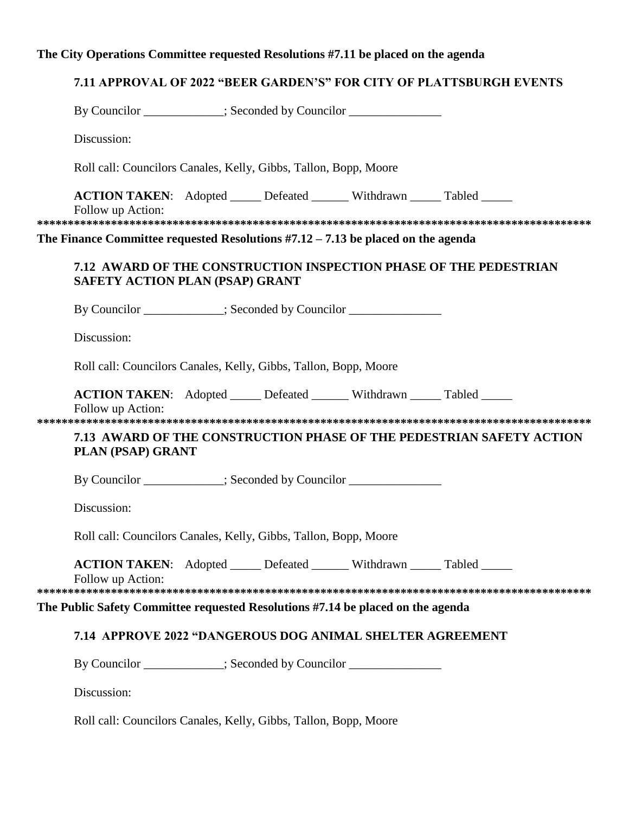# The City Operations Committee requested Resolutions #7.11 be placed on the agenda

# 7.11 APPROVAL OF 2022 "BEER GARDEN'S" FOR CITY OF PLATTSBURGH EVENTS

|                                                                                                             | By Councilor ___________; Seconded by Councilor ________________________________                     |  |  |  |  |  |  |  |  |  |
|-------------------------------------------------------------------------------------------------------------|------------------------------------------------------------------------------------------------------|--|--|--|--|--|--|--|--|--|
|                                                                                                             | Discussion:<br>Roll call: Councilors Canales, Kelly, Gibbs, Tallon, Bopp, Moore                      |  |  |  |  |  |  |  |  |  |
|                                                                                                             |                                                                                                      |  |  |  |  |  |  |  |  |  |
|                                                                                                             | <b>ACTION TAKEN:</b> Adopted _____ Defeated ______ Withdrawn _____ Tabled _____<br>Follow up Action: |  |  |  |  |  |  |  |  |  |
| The Finance Committee requested Resolutions $#7.12 - 7.13$ be placed on the agenda                          |                                                                                                      |  |  |  |  |  |  |  |  |  |
| 7.12 AWARD OF THE CONSTRUCTION INSPECTION PHASE OF THE PEDESTRIAN<br><b>SAFETY ACTION PLAN (PSAP) GRANT</b> |                                                                                                      |  |  |  |  |  |  |  |  |  |
|                                                                                                             | By Councilor ___________; Seconded by Councilor ________________________________                     |  |  |  |  |  |  |  |  |  |
|                                                                                                             | Discussion:                                                                                          |  |  |  |  |  |  |  |  |  |
| Roll call: Councilors Canales, Kelly, Gibbs, Tallon, Bopp, Moore                                            |                                                                                                      |  |  |  |  |  |  |  |  |  |
|                                                                                                             | <b>ACTION TAKEN:</b> Adopted _____ Defeated ______ Withdrawn _____ Tabled _____<br>Follow up Action: |  |  |  |  |  |  |  |  |  |
| 7.13 AWARD OF THE CONSTRUCTION PHASE OF THE PEDESTRIAN SAFETY ACTION<br>PLAN (PSAP) GRANT                   |                                                                                                      |  |  |  |  |  |  |  |  |  |
|                                                                                                             | By Councilor __________; Seconded by Councilor ______________                                        |  |  |  |  |  |  |  |  |  |
|                                                                                                             | Discussion:                                                                                          |  |  |  |  |  |  |  |  |  |
|                                                                                                             | Roll call: Councilors Canales, Kelly, Gibbs, Tallon, Bopp, Moore                                     |  |  |  |  |  |  |  |  |  |
|                                                                                                             | ACTION TAKEN: Adopted _____ Defeated ______ Withdrawn _____ Tabled _____<br>Follow up Action:        |  |  |  |  |  |  |  |  |  |
| The Public Safety Committee requested Resolutions #7.14 be placed on the agenda                             |                                                                                                      |  |  |  |  |  |  |  |  |  |
| 7.14 APPROVE 2022 "DANGEROUS DOG ANIMAL SHELTER AGREEMENT                                                   |                                                                                                      |  |  |  |  |  |  |  |  |  |
|                                                                                                             | By Councilor ___________; Seconded by Councilor ______________                                       |  |  |  |  |  |  |  |  |  |
|                                                                                                             | Discussion:                                                                                          |  |  |  |  |  |  |  |  |  |
|                                                                                                             |                                                                                                      |  |  |  |  |  |  |  |  |  |

Roll call: Councilors Canales, Kelly, Gibbs, Tallon, Bopp, Moore